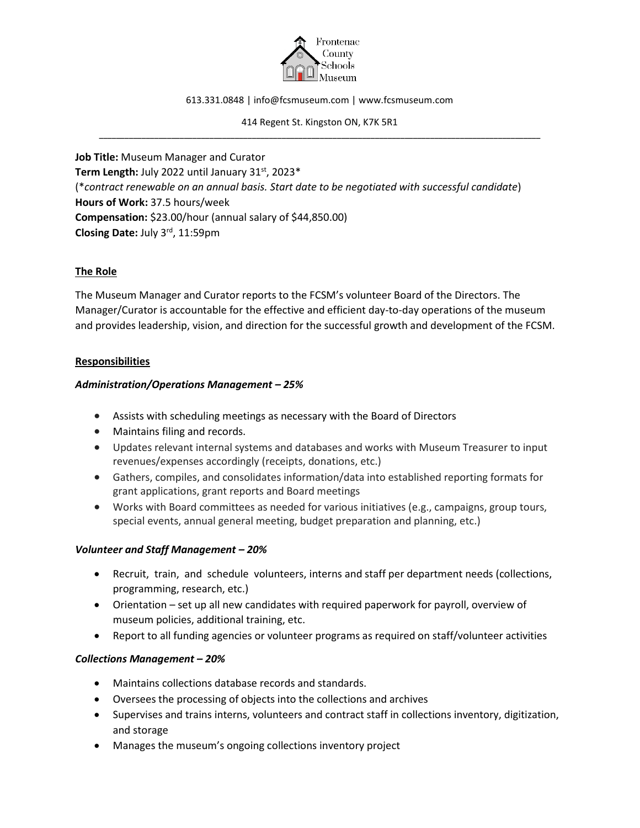

613.331.0848 | info@fcsmuseum.com | www.fcsmuseum.com

414 Regent St. Kingston ON, K7K 5R1 \_\_\_\_\_\_\_\_\_\_\_\_\_\_\_\_\_\_\_\_\_\_\_\_\_\_\_\_\_\_\_\_\_\_\_\_\_\_\_\_\_\_\_\_\_\_\_\_\_\_\_\_\_\_\_\_\_\_\_\_\_\_\_\_\_\_\_\_\_\_\_\_\_\_\_\_\_\_\_\_\_\_\_\_\_\_\_\_\_\_\_\_\_\_\_\_\_\_\_\_\_\_\_\_

**Job Title:** Museum Manager and Curator Term Length: July 2022 until January 31<sup>st</sup>, 2023<sup>\*</sup> (\**contract renewable on an annual basis. Start date to be negotiated with successful candidate*) **Hours of Work:** 37.5 hours/week **Compensation:** \$23.00/hour (annual salary of \$44,850.00) **Closing Date:** July 3rd, 11:59pm

### **The Role**

The Museum Manager and Curator reports to the FCSM's volunteer Board of the Directors. The Manager/Curator is accountable for the effective and efficient day-to-day operations of the museum and provides leadership, vision, and direction for the successful growth and development of the FCSM.

### **Responsibilities**

### *Administration/Operations Management – 25%*

- Assists with scheduling meetings as necessary with the Board of Directors
- Maintains filing and records.
- Updates relevant internal systems and databases and works with Museum Treasurer to input revenues/expenses accordingly (receipts, donations, etc.)
- Gathers, compiles, and consolidates information/data into established reporting formats for grant applications, grant reports and Board meetings
- Works with Board committees as needed for various initiatives (e.g., campaigns, group tours, special events, annual general meeting, budget preparation and planning, etc.)

#### *Volunteer and Staff Management – 20%*

- Recruit, train, and schedule volunteers, interns and staff per department needs (collections, programming, research, etc.)
- Orientation set up all new candidates with required paperwork for payroll, overview of museum policies, additional training, etc.
- Report to all funding agencies or volunteer programs as required on staff/volunteer activities

## *Collections Management – 20%*

- Maintains collections database records and standards.
- Oversees the processing of objects into the collections and archives
- Supervises and trains interns, volunteers and contract staff in collections inventory, digitization, and storage
- Manages the museum's ongoing collections inventory project